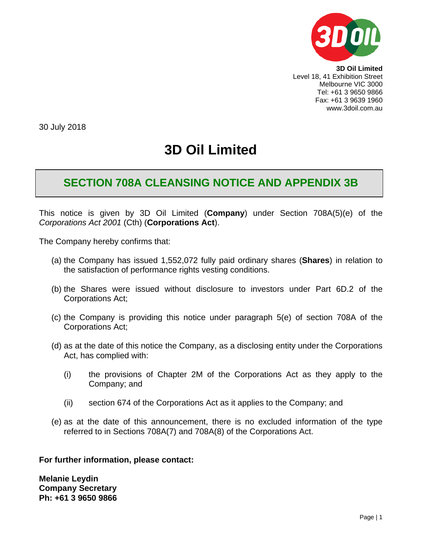

**3D Oil Limited** Level 18, 41 Exhibition Street Melbourne VIC 3000 Tel: +61 3 9650 9866 Fax: +61 3 9639 1960 www.3doil.com.au

30 July 2018

# **3D Oil Limited**

# **SECTION 708A CLEANSING NOTICE AND APPENDIX 3B**

This notice is given by 3D Oil Limited (**Company**) under Section 708A(5)(e) of the *Corporations Act 2001* (Cth) (**Corporations Act**).

The Company hereby confirms that:

- (a) the Company has issued 1,552,072 fully paid ordinary shares (**Shares**) in relation to the satisfaction of performance rights vesting conditions.
- (b) the Shares were issued without disclosure to investors under Part 6D.2 of the Corporations Act;
- (c) the Company is providing this notice under paragraph 5(e) of section 708A of the Corporations Act;
- (d) as at the date of this notice the Company, as a disclosing entity under the Corporations Act, has complied with:
	- (i) the provisions of Chapter 2M of the Corporations Act as they apply to the Company; and
	- (ii) section 674 of the Corporations Act as it applies to the Company; and
- (e) as at the date of this announcement, there is no excluded information of the type referred to in Sections 708A(7) and 708A(8) of the Corporations Act.

**For further information, please contact:**

**Melanie Leydin Company Secretary Ph: +61 3 9650 9866**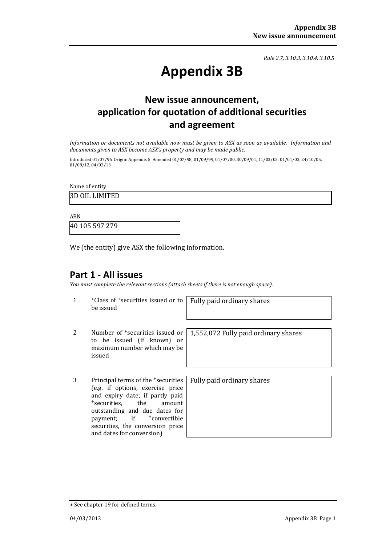*Rule 2.7, 3.10.3, 3.10.4, 3.10.5*

# **Appendix 3B**

## **New issue announcement, application for quotation of additional securities and agreement**

*Information or documents not available now must be given to ASX as soon as available. Information and documents given to ASX become ASX's property and may be made public.*

Introduced 01/07/96 Origin: Appendix 5 Amended 01/07/98, 01/09/99, 01/07/00, 30/09/01, 11/03/02, 01/01/03, 24/10/05, 01/08/12, 04/03/13

Name of entity

3D OIL LIMITED

ABN 40 105 597 279

We (the entity) give ASX the following information.

### **Part 1 - All issues**

*You must complete the relevant sections (attach sheets if there is not enough space).*

1 +Class of +securities issued or to be issued

Fully paid ordinary shares

- 2 Number of +securities issued or to be issued (if known) or maximum number which may be issued
- 3 Principal terms of the +securities (e.g. if options, exercise price and expiry date; if partly paid<br>
+securities. the amount +securities, outstanding and due dates for<br>payment; if tonvertible +convertible securities, the conversion price and dates for conversion)

1,552,072 Fully paid ordinary shares

Fully paid ordinary shares

<sup>+</sup> See chapter 19 for defined terms.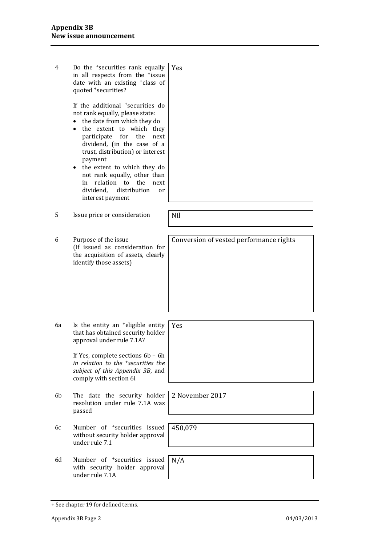| 4  | Do the 'securities rank equally<br>in all respects from the <sup>+</sup> issue<br>date with an existing <sup>+</sup> class of<br>quoted +securities?                                                                                                                                                                                                                                                                                         | Yes                                     |
|----|----------------------------------------------------------------------------------------------------------------------------------------------------------------------------------------------------------------------------------------------------------------------------------------------------------------------------------------------------------------------------------------------------------------------------------------------|-----------------------------------------|
|    | If the additional <sup>+</sup> securities do<br>not rank equally, please state:<br>the date from which they do<br>$\bullet$<br>the extent to which they<br>for<br>participate<br>the<br>next<br>dividend, (in the case of a<br>trust, distribution) or interest<br>payment<br>the extent to which they do<br>٠<br>not rank equally, other than<br>relation<br>to<br>the<br>in<br>next<br>dividend,<br>distribution<br>or<br>interest payment |                                         |
| 5  | Issue price or consideration                                                                                                                                                                                                                                                                                                                                                                                                                 | Nil                                     |
| 6  | Purpose of the issue<br>(If issued as consideration for<br>the acquisition of assets, clearly<br>identify those assets)                                                                                                                                                                                                                                                                                                                      | Conversion of vested performance rights |
| 6a | Is the entity an <sup>+</sup> eligible entity<br>that has obtained security holder<br>approval under rule 7.1A?<br>If Yes, complete sections 6b - 6h<br>in relation to the <sup>+</sup> securities the<br>subject of this Appendix 3B, and<br>comply with section 6i                                                                                                                                                                         | Yes                                     |
| 6b | The date the security holder<br>resolution under rule 7.1A was<br>passed                                                                                                                                                                                                                                                                                                                                                                     | 2 November 2017                         |
| 6c | Number of <sup>+</sup> securities issued<br>without security holder approval<br>under rule 7.1                                                                                                                                                                                                                                                                                                                                               | 450,079                                 |
| 6d | Number of <sup>+</sup> securities issued<br>with security holder approval<br>under rule 7.1A                                                                                                                                                                                                                                                                                                                                                 | N/A                                     |

<sup>+</sup> See chapter 19 for defined terms.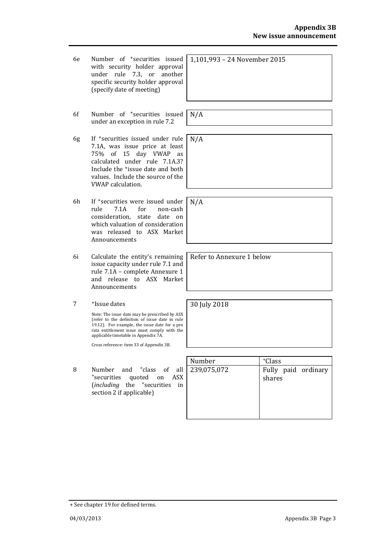- 6e Number of +securities issued with security holder approval under rule 7.3, or another specific security holder approval (specify date of meeting)
- 6f Number of +securities issued under an exception in rule 7.2
- 6g If +securities issued under rule 7.1A, was issue price at least 75% of 15 day VWAP as calculated under rule 7.1A.3? Include the +issue date and both values. Include the source of the VWAP calculation.
- 6h If <sup>+</sup>securities were issued under<br>rule 7.1A for non-cash rule 7.1A for non-cash consideration, state date on which valuation of consideration was released to ASX Market Announcements
- 6i Calculate the entity's remaining issue capacity under rule 7.1 and rule 7.1A – complete Annexure 1 and release to ASX Market Announcements
- 7 +Issue dates

Note: The issue date may be prescribed by ASX (refer to the definition of issue date in rule 19.12). For example, the issue date for a pro rata entitlement issue must comply with the applicable timetable in Appendix 7A.

Cross reference: item 33 of Appendix 3B.

<sup>8</sup> Number and +class of all +securities quoted on ASX (*including* the +securities in section 2 if applicable)

| Number      | <sup>+</sup> Class            |
|-------------|-------------------------------|
| 239,075,072 | Fully paid ordinary<br>shares |

1,101,993 – 24 November 2015

N/A

N/A

N/A

Refer to Annexure 1 below

30 July 2018

+ See chapter 19 for defined terms.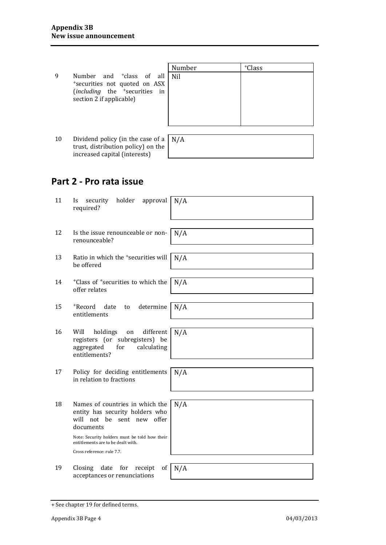|    |                                                                                                                                                        | Number | <sup>+</sup> Class |
|----|--------------------------------------------------------------------------------------------------------------------------------------------------------|--------|--------------------|
| 9  | Number and <sup>+</sup> class of all<br>*securities not quoted on ASX<br>( <i>including</i> the <sup>+</sup> securities in<br>section 2 if applicable) | Nil    |                    |
|    |                                                                                                                                                        |        |                    |
| 10 | Dividend policy (in the case of a $\mid N/A \rangle$<br>trust, distribution policy) on the                                                             |        |                    |

## **Part 2 - Pro rata issue**

increased capital (interests)

| 11 | holder<br>approval<br>security<br>Is<br>required?                                                                          | N/A |
|----|----------------------------------------------------------------------------------------------------------------------------|-----|
|    |                                                                                                                            |     |
| 12 | Is the issue renounceable or non-<br>renounceable?                                                                         | N/A |
|    |                                                                                                                            |     |
| 13 | Ratio in which the <sup>+</sup> securities will<br>be offered                                                              | N/A |
|    |                                                                                                                            |     |
| 14 | <sup>+</sup> Class of <sup>+</sup> securities to which the<br>offer relates                                                | N/A |
|    |                                                                                                                            |     |
| 15 | +Record<br>date<br>determine<br>to<br>entitlements                                                                         | N/A |
|    |                                                                                                                            |     |
| 16 | different<br>Will<br>holdings<br>on<br>registers (or subregisters) be<br>aggregated<br>calculating<br>for<br>entitlements? | N/A |
|    |                                                                                                                            |     |
| 17 | Policy for deciding entitlements<br>in relation to fractions                                                               | N/A |
|    |                                                                                                                            |     |
| 18 | Names of countries in which the<br>entity has security holders who<br>will not be sent new offer<br>documents              | N/A |
|    | Note: Security holders must be told how their<br>entitlements are to be dealt with.                                        |     |
|    | Cross reference: rule 7.7.                                                                                                 |     |
|    |                                                                                                                            |     |
| 19 | Closing<br>date<br>for<br>receipt<br>of<br>acceptances or renunciations                                                    | N/A |

<sup>+</sup> See chapter 19 for defined terms.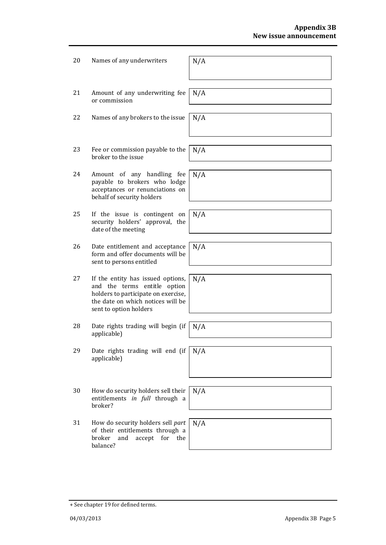| 20 | Names of any underwriters                                                                                                                                               | N/A |
|----|-------------------------------------------------------------------------------------------------------------------------------------------------------------------------|-----|
| 21 | Amount of any underwriting fee<br>or commission                                                                                                                         | N/A |
| 22 | Names of any brokers to the issue                                                                                                                                       | N/A |
| 23 | Fee or commission payable to the<br>broker to the issue                                                                                                                 | N/A |
| 24 | Amount of any handling fee<br>payable to brokers who lodge<br>acceptances or renunciations on<br>behalf of security holders                                             | N/A |
| 25 | If the issue is contingent on<br>security holders' approval, the<br>date of the meeting                                                                                 | N/A |
| 26 | Date entitlement and acceptance<br>form and offer documents will be<br>sent to persons entitled                                                                         | N/A |
| 27 | If the entity has issued options,<br>and the terms entitle option<br>holders to participate on exercise,<br>the date on which notices will be<br>sent to option holders | N/A |
| 28 | Date rights trading will begin (if<br>applicable)                                                                                                                       | N/A |
| 29 | Date rights trading will end (if<br>applicable)                                                                                                                         | N/A |
| 30 | How do security holders sell their<br>entitlements in full through a<br>broker?                                                                                         | N/A |
| 31 | How do security holders sell part<br>of their entitlements through a<br>broker<br>and<br>accept<br>for<br>the<br>balance?                                               | N/A |

<sup>+</sup> See chapter 19 for defined terms.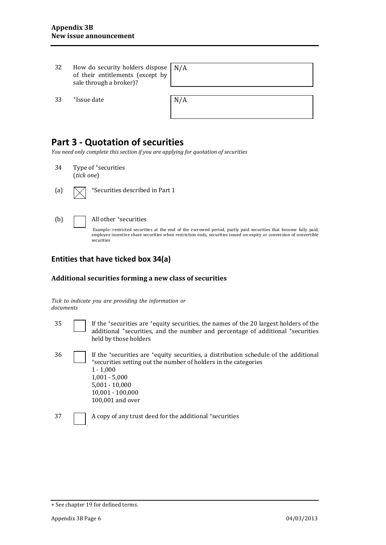| 32 | How do security holders dispose<br>of their entitlements (except by<br>sale through a broker)? | N/A |
|----|------------------------------------------------------------------------------------------------|-----|
| 33 | <sup>+</sup> Issue date                                                                        | N/A |

## **Part 3 - Quotation of securities**

*You need only complete this section if you are applying for quotation of securities*

- 34 Type of +securities (*tick one*)
- 

(a)  $\sqrt{\phantom{a}}$  +Securities described in Part 1

| $-$<br>÷<br>۰.<br>×<br>۰. |
|---------------------------|
|---------------------------|

#### All other <sup>+</sup>securities

Example: restricted securities at the end of the escrowed period, partly paid securities that become fully paid, employee incentive share securities when restriction ends, securities issued on expiry or conversion of convertible securities

#### **Entities that have ticked box 34(a)**

#### **Additional securities forming a new class of securities**

*Tick to indicate you are providing the information or documents*

- 
- 35 If the +securities are +equity securities, the names of the 20 largest holders of the additional <sup>+</sup>securities, and the number and percentage of additional <sup>+</sup>securities held by those holders
	- 36 If the <sup>+</sup>securities are <sup>+</sup>equity securities, a distribution schedule of the additional <sup>+</sup>securities setting out the number of holders in the categories 1 - 1,000 1,001 - 5,000 5,001 - 10,000 10,001 - 100,000 100,001 and over

 $37 \quad \boxed{\phantom{0}}$  A copy of any trust deed for the additional +securities

<sup>+</sup> See chapter 19 for defined terms.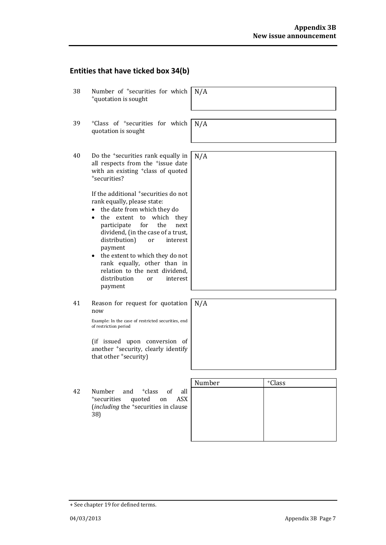## **Entities that have ticked box 34(b)**

| 38 | Number of <sup>+</sup> securities for which<br><sup>+</sup> quotation is sought                                                                                                                                                                                                                                                                                                                                                                       | N/A    |                    |
|----|-------------------------------------------------------------------------------------------------------------------------------------------------------------------------------------------------------------------------------------------------------------------------------------------------------------------------------------------------------------------------------------------------------------------------------------------------------|--------|--------------------|
| 39 | <sup>+</sup> Class of <sup>+</sup> securities for which<br>quotation is sought                                                                                                                                                                                                                                                                                                                                                                        | N/A    |                    |
| 40 | Do the <sup>+</sup> securities rank equally in<br>all respects from the <sup>+</sup> issue date<br>with an existing <sup>+</sup> class of quoted<br>*securities?                                                                                                                                                                                                                                                                                      | N/A    |                    |
|    | If the additional <sup>+</sup> securities do not<br>rank equally, please state:<br>the date from which they do<br>which<br>the extent<br>to<br>they<br>participate<br>for<br>the<br>next<br>dividend, (in the case of a trust,<br>distribution)<br>or<br>interest<br>payment<br>the extent to which they do not<br>$\bullet$<br>rank equally, other than in<br>relation to the next dividend.<br>distribution<br><sub>or</sub><br>interest<br>payment |        |                    |
| 41 | Reason for request for quotation<br>now<br>Example: In the case of restricted securities, end<br>of restriction period                                                                                                                                                                                                                                                                                                                                | N/A    |                    |
|    | (if issued upon conversion of<br>another <sup>+</sup> security, clearly identify<br>that other +security)                                                                                                                                                                                                                                                                                                                                             |        |                    |
|    |                                                                                                                                                                                                                                                                                                                                                                                                                                                       |        |                    |
| 42 | Number<br><sup>+</sup> class<br>of<br>all<br>and<br><sup>+</sup> securities<br>quoted<br>ASX.<br>on<br>(including the <sup>+</sup> securities in clause<br>38)                                                                                                                                                                                                                                                                                        | Number | <sup>+</sup> Class |

<sup>+</sup> See chapter 19 for defined terms.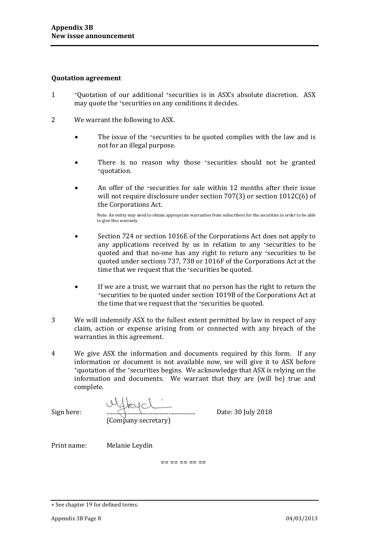#### **Quotation agreement**

- 1 <sup>+</sup>Quotation of our additional <sup>+</sup>securities is in ASX's absolute discretion. ASX may quote the <sup>+</sup>securities on any conditions it decides.
- 2 We warrant the following to ASX.
	- The issue of the *securities to be quoted complies with the law and is* not for an illegal purpose.
	- There is no reason why those *\*securities* should not be granted *\**quotation.
	- An offer of the *+securities for sale within* 12 months after their issue will not require disclosure under section 707(3) or section 1012C(6) of the Corporations Act.

Note: An entity may need to obtain appropriate warranties from subscribers for the securities in order to be able to give this warranty

- Section 724 or section 1016E of the Corporations Act does not apply to any applications received by us in relation to any +securities to be quoted and that no-one has any right to return any +securities to be quoted under sections 737, 738 or 1016F of the Corporations Act at the time that we request that the +securities be quoted.
- If we are a trust, we warrant that no person has the right to return the <sup>+</sup>securities to be quoted under section 1019B of the Corporations Act at the time that we request that the 'securities be quoted.
- 3 We will indemnify ASX to the fullest extent permitted by law in respect of any claim, action or expense arising from or connected with any breach of the warranties in this agreement.
- 4 We give ASX the information and documents required by this form. If any information or document is not available now, we will give it to ASX before <sup>+</sup>quotation of the <sup>+</sup>securities begins. We acknowledge that ASX is relying on the information and documents. We warrant that they are (will be) true and complete.

Sign here: ............................................................ Date: 30 July 2018 (Company secretary)

Print name: Melanie Leydin

== == == == ==

<sup>+</sup> See chapter 19 for defined terms.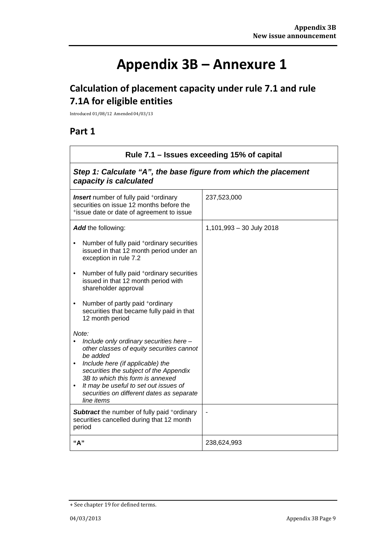# **Appendix 3B – Annexure 1**

# **Calculation of placement capacity under rule 7.1 and rule 7.1A for eligible entities**

Introduced 01/08/12 Amended 04/03/13

## **Part 1**

| Rule 7.1 – Issues exceeding 15% of capital                                                                                                                                                                                                                                                                                                                                           |                          |  |
|--------------------------------------------------------------------------------------------------------------------------------------------------------------------------------------------------------------------------------------------------------------------------------------------------------------------------------------------------------------------------------------|--------------------------|--|
| Step 1: Calculate "A", the base figure from which the placement<br>capacity is calculated                                                                                                                                                                                                                                                                                            |                          |  |
| <b>Insert</b> number of fully paid <sup>+</sup> ordinary<br>securities on issue 12 months before the<br>*issue date or date of agreement to issue                                                                                                                                                                                                                                    | 237,523,000              |  |
| Add the following:<br>Number of fully paid <sup>+</sup> ordinary securities<br>$\bullet$<br>issued in that 12 month period under an<br>exception in rule 7.2<br>Number of fully paid <sup>+</sup> ordinary securities<br>$\bullet$<br>issued in that 12 month period with<br>shareholder approval                                                                                    | 1,101,993 - 30 July 2018 |  |
| Number of partly paid +ordinary<br>$\bullet$<br>securities that became fully paid in that<br>12 month period<br>Note:<br>Include only ordinary securities here -<br>other classes of equity securities cannot<br>be added<br>Include here (if applicable) the<br>securities the subject of the Appendix<br>3B to which this form is annexed<br>It may be useful to set out issues of |                          |  |
| securities on different dates as separate<br>line items<br><b>Subtract</b> the number of fully paid +ordinary<br>securities cancelled during that 12 month<br>period<br>"A"                                                                                                                                                                                                          | 238,624,993              |  |

<sup>+</sup> See chapter 19 for defined terms.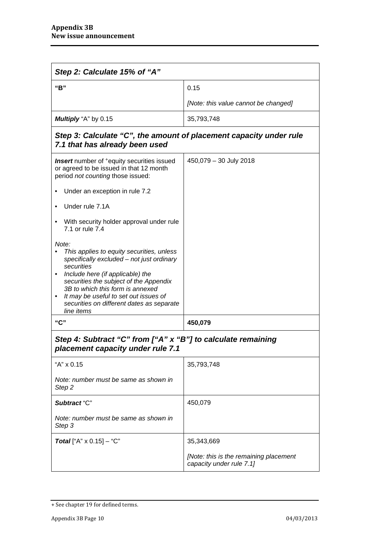| Step 2: Calculate 15% of "A"                                                                                                                                                                                                                                                                                                                     |                                                                    |  |
|--------------------------------------------------------------------------------------------------------------------------------------------------------------------------------------------------------------------------------------------------------------------------------------------------------------------------------------------------|--------------------------------------------------------------------|--|
| "B"                                                                                                                                                                                                                                                                                                                                              | 0.15                                                               |  |
|                                                                                                                                                                                                                                                                                                                                                  | [Note: this value cannot be changed]                               |  |
| Multiply "A" by 0.15                                                                                                                                                                                                                                                                                                                             | 35,793,748                                                         |  |
| Step 3: Calculate "C", the amount of placement capacity under rule<br>7.1 that has already been used                                                                                                                                                                                                                                             |                                                                    |  |
| <b>Insert</b> number of <sup>+</sup> equity securities issued<br>or agreed to be issued in that 12 month<br>period not counting those issued:                                                                                                                                                                                                    | 450,079 - 30 July 2018                                             |  |
| Under an exception in rule 7.2                                                                                                                                                                                                                                                                                                                   |                                                                    |  |
| Under rule 7.1A                                                                                                                                                                                                                                                                                                                                  |                                                                    |  |
| With security holder approval under rule<br>٠<br>7.1 or rule 7.4                                                                                                                                                                                                                                                                                 |                                                                    |  |
| Note:<br>This applies to equity securities, unless<br>specifically excluded - not just ordinary<br>securities<br>Include here (if applicable) the<br>$\bullet$<br>securities the subject of the Appendix<br>3B to which this form is annexed<br>It may be useful to set out issues of<br>securities on different dates as separate<br>line items |                                                                    |  |
| "C"                                                                                                                                                                                                                                                                                                                                              | 450,079                                                            |  |
| Step 4: Subtract "C" from ["A" x "B"] to calculate remaining<br>placement capacity under rule 7.1                                                                                                                                                                                                                                                |                                                                    |  |
| "A" x 0.15                                                                                                                                                                                                                                                                                                                                       | 35,793,748                                                         |  |
| Note: number must be same as shown in<br>Step <sub>2</sub>                                                                                                                                                                                                                                                                                       |                                                                    |  |
| Subtract "C"                                                                                                                                                                                                                                                                                                                                     | 450,079                                                            |  |
| Note: number must be same as shown in<br>Step 3                                                                                                                                                                                                                                                                                                  |                                                                    |  |
| <b>Total</b> ["A" $\times$ 0.15] – "C"                                                                                                                                                                                                                                                                                                           | 35,343,669                                                         |  |
|                                                                                                                                                                                                                                                                                                                                                  | [Note: this is the remaining placement<br>capacity under rule 7.1] |  |

<sup>+</sup> See chapter 19 for defined terms.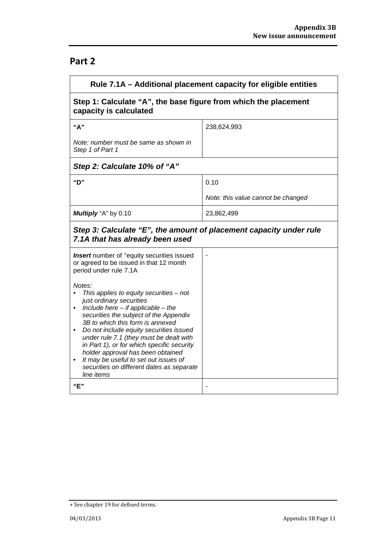## **Part 2**

| Rule 7.1A – Additional placement capacity for eligible entities                                                                                                                                                                                                                                                                                                                                                                                                                                 |                                    |  |
|-------------------------------------------------------------------------------------------------------------------------------------------------------------------------------------------------------------------------------------------------------------------------------------------------------------------------------------------------------------------------------------------------------------------------------------------------------------------------------------------------|------------------------------------|--|
| Step 1: Calculate "A", the base figure from which the placement<br>capacity is calculated                                                                                                                                                                                                                                                                                                                                                                                                       |                                    |  |
| "A"                                                                                                                                                                                                                                                                                                                                                                                                                                                                                             | 238,624,993                        |  |
| Note: number must be same as shown in<br>Step 1 of Part 1                                                                                                                                                                                                                                                                                                                                                                                                                                       |                                    |  |
| Step 2: Calculate 10% of "A"                                                                                                                                                                                                                                                                                                                                                                                                                                                                    |                                    |  |
| "D"                                                                                                                                                                                                                                                                                                                                                                                                                                                                                             | 0.10                               |  |
|                                                                                                                                                                                                                                                                                                                                                                                                                                                                                                 | Note: this value cannot be changed |  |
| Multiply "A" by 0.10                                                                                                                                                                                                                                                                                                                                                                                                                                                                            | 23,862,499                         |  |
| Step 3: Calculate "E", the amount of placement capacity under rule<br>7.1A that has already been used                                                                                                                                                                                                                                                                                                                                                                                           |                                    |  |
| Insert number of <sup>+</sup> equity securities issued<br>or agreed to be issued in that 12 month<br>period under rule 7.1A                                                                                                                                                                                                                                                                                                                                                                     |                                    |  |
| Notes:<br>This applies to equity securities - not<br>just ordinary securities<br>Include here $-$ if applicable $-$ the<br>$\bullet$<br>securities the subject of the Appendix<br>3B to which this form is annexed<br>Do not include equity securities issued<br>under rule 7.1 (they must be dealt with<br>in Part 1), or for which specific security<br>holder approval has been obtained<br>It may be useful to set out issues of<br>securities on different dates as separate<br>line items |                                    |  |
| "E"                                                                                                                                                                                                                                                                                                                                                                                                                                                                                             |                                    |  |

<sup>+</sup> See chapter 19 for defined terms.